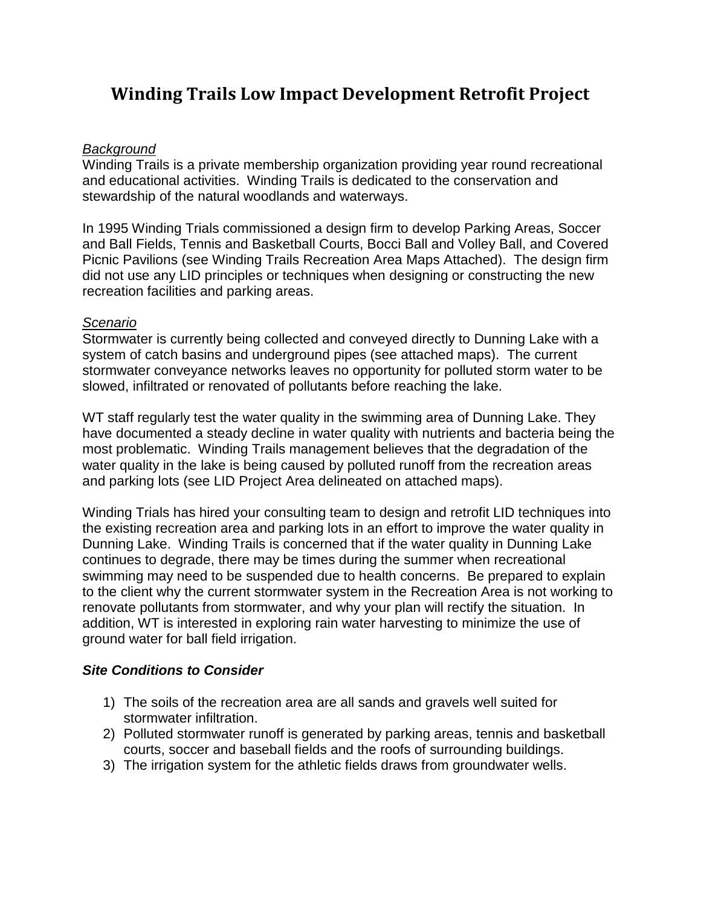# **Winding Trails Low Impact Development Retrofit Project**

#### *Background*

Winding Trails is a private membership organization providing year round recreational and educational activities. Winding Trails is dedicated to the conservation and stewardship of the natural woodlands and waterways.

In 1995 Winding Trials commissioned a design firm to develop Parking Areas, Soccer and Ball Fields, Tennis and Basketball Courts, Bocci Ball and Volley Ball, and Covered Picnic Pavilions (see Winding Trails Recreation Area Maps Attached). The design firm did not use any LID principles or techniques when designing or constructing the new recreation facilities and parking areas.

#### *Scenario*

Stormwater is currently being collected and conveyed directly to Dunning Lake with a system of catch basins and underground pipes (see attached maps). The current stormwater conveyance networks leaves no opportunity for polluted storm water to be slowed, infiltrated or renovated of pollutants before reaching the lake.

WT staff regularly test the water quality in the swimming area of Dunning Lake. They have documented a steady decline in water quality with nutrients and bacteria being the most problematic. Winding Trails management believes that the degradation of the water quality in the lake is being caused by polluted runoff from the recreation areas and parking lots (see LID Project Area delineated on attached maps).

Winding Trials has hired your consulting team to design and retrofit LID techniques into the existing recreation area and parking lots in an effort to improve the water quality in Dunning Lake. Winding Trails is concerned that if the water quality in Dunning Lake continues to degrade, there may be times during the summer when recreational swimming may need to be suspended due to health concerns. Be prepared to explain to the client why the current stormwater system in the Recreation Area is not working to renovate pollutants from stormwater, and why your plan will rectify the situation. In addition, WT is interested in exploring rain water harvesting to minimize the use of ground water for ball field irrigation.

## *Site Conditions to Consider*

- 1) The soils of the recreation area are all sands and gravels well suited for stormwater infiltration.
- 2) Polluted stormwater runoff is generated by parking areas, tennis and basketball courts, soccer and baseball fields and the roofs of surrounding buildings.
- 3) The irrigation system for the athletic fields draws from groundwater wells.